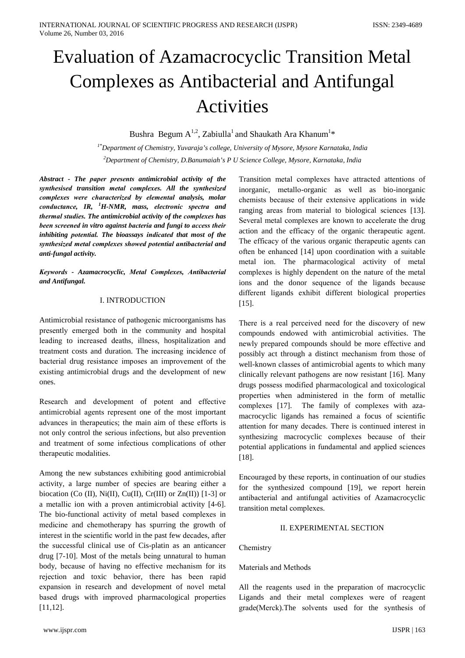# **Evaluation of Azamacrocyclic Transition Metal Complexes as Antibacterial and Antifungal Activities**

Bushra Begum  $A^{1,2}$ , Zabiulla<sup>1</sup> and Shaukath Ara Khanum<sup>1\*</sup>

<sup>1\*</sup>Department of Chemistry, Yuvaraja's college, University of Mysore, Mysore Karnataka, India <sup>2</sup>Department of Chemistry, D.Banumaiah's P U Science College, Mysore, Karnataka, India

Abstract - The paper presents antimicrobial activity of the synthesised transition metal complexes. All the synthesized complexes were characterized by elemental analysis, molar conductance, IR, <sup>1</sup>H-NMR, mass, electronic spectra and thermal studies. The antimicrobial activity of the complexes has been screened in vitro against bacteria and fungi to access their inhibiting potential. The bioassays indicated that most of the synthesized metal complexes showed potential antibacterial and anti-fungal activity.

Keywords - Azamacrocyclic, Metal Complexes, Antibacterial and Antifungal.

## I. INTRODUCTION

Antimicrobial resistance of pathogenic microorganisms has presently emerged both in the community and hospital leading to increased deaths, illness, hospitalization and treatment costs and duration. The increasing incidence of bacterial drug resistance imposes an improvement of the existing antimicrobial drugs and the development of new ones.

Research and development of potent and effective antimicrobial agents represent one of the most important advances in therapeutics; the main aim of these efforts is not only control the serious infections, but also prevention and treatment of some infectious complications of other therapeutic modalities.

Among the new substances exhibiting good antimicrobial activity, a large number of species are bearing either a biocation (Co (II), Ni(II), Cu(II), Cr(III) or Zn(II)) [1-3] or a metallic ion with a proven antimicrobial activity [4-6]. The bio-functional activity of metal based complexes in medicine and chemotherapy has spurring the growth of interest in the scientific world in the past few decades, after the successful clinical use of Cis-platin as an anticancer drug [7-10]. Most of the metals being unnatural to human body, because of having no effective mechanism for its rejection and toxic behavior, there has been rapid expansion in research and development of novel metal based drugs with improved pharmacological properties  $[11.12]$ 

Transition metal complexes have attracted attentions of inorganic, metallo-organic as well as bio-inorganic chemists because of their extensive applications in wide ranging areas from material to biological sciences [13]. Several metal complexes are known to accelerate the drug action and the efficacy of the organic therapeutic agent. The efficacy of the various organic therapeutic agents can often be enhanced [14] upon coordination with a suitable metal ion. The pharmacological activity of metal complexes is highly dependent on the nature of the metal ions and the donor sequence of the ligands because different ligands exhibit different biological properties  $[15]$ .

There is a real perceived need for the discovery of new compounds endowed with antimicrobial activities. The newly prepared compounds should be more effective and possibly act through a distinct mechanism from those of well-known classes of antimicrobial agents to which many clinically relevant pathogens are now resistant [16]. Many drugs possess modified pharmacological and toxicological properties when administered in the form of metallic The family of complexes with azacomplexes [17]. macrocyclic ligands has remained a focus of scientific attention for many decades. There is continued interest in synthesizing macrocyclic complexes because of their potential applications in fundamental and applied sciences  $[18]$ .

Encouraged by these reports, in continuation of our studies for the synthesized compound [19], we report herein antibacterial and antifungal activities of Azamacrocyclic transition metal complexes.

# **II EXPERIMENTAL SECTION**

Chemistry

## Materials and Methods

All the reagents used in the preparation of macrocyclic Ligands and their metal complexes were of reagent grade(Merck). The solvents used for the synthesis of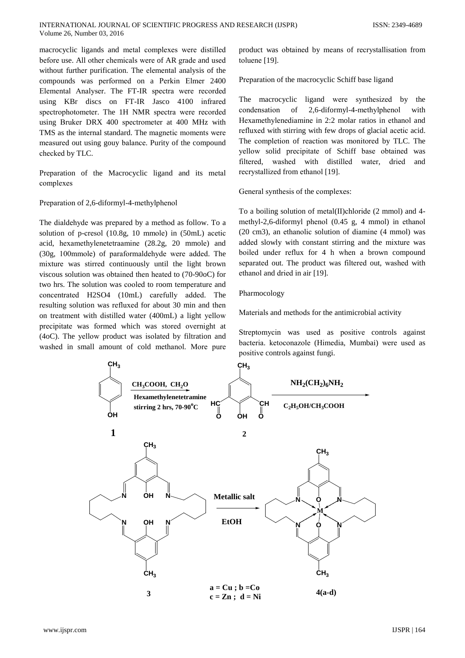macrocyclic ligands and metal complexes were distilled before use. All other chemicals were of AR grade and used without further purification. The elemental analysis of the compounds was performed on a Perkin Elmer 2400 Elemental Analyser. The FT-IR spectra were recorded using KBr discs on FT-IR Jasco 4100 infrared spectrophotometer. The 1H NMR spectra were recorded using Bruker DRX 400 spectrometer at 400 MHz with TMS as the internal standard. The magnetic moments were measured out using gouy balance. Purity of the compound checked by TLC.

Preparation of the Macrocyclic ligand and its metal complexes

#### Preparation of 2,6-diformyl-4-methylphenol

The dialdehyde was prepared by a method as follow. To a solution of p-cresol (10.8g, 10 mmole) in (50mL) acetic acid, hexamethylenetetraamine (28.2g, 20 mmole) and (30g, 100mmole) of paraformaldehyde were added. The mixture was stirred continuously until the light brown viscous solution was obtained then heated to (70-90oC) for two hrs. The solution was cooled to room temperature and concentrated H2SO4 (10mL) carefully added. The resulting solution was refluxed for about 30 min and then on treatment with distilled water (400mL) a light yellow precipitate was formed which was stored overnight at (4oC). The yellow product was isolated by filtration and washed in small amount of cold methanol. More pure

product was obtained by means of recrystallisation from toluene [19].

Preparation of the macrocyclic Schiff base ligand

The macrocyclic ligand were synthesized by the 2,6-diformyl-4-methylphenol condensation  $\sigma$ with Hexamethylenediamine in 2:2 molar ratios in ethanol and refluxed with stirring with few drops of glacial acetic acid. The completion of reaction was monitored by TLC. The vellow solid precipitate of Schiff base obtained was filtered, washed with distilled water, dried and recrystallized from ethanol [19].

General synthesis of the complexes:

To a boiling solution of metal(II)chloride (2 mmol) and 4methyl-2,6-diformyl phenol (0.45 g, 4 mmol) in ethanol (20 cm3), an ethanolic solution of diamine (4 mmol) was added slowly with constant stirring and the mixture was boiled under reflux for 4 h when a brown compound separated out. The product was filtered out, washed with ethanol and dried in air [19].

#### Pharmocology

Materials and methods for the antimicrobial activity

Streptomycin was used as positive controls against bacteria. ketoconazole (Himedia, Mumbai) were used as positive controls against fungi.

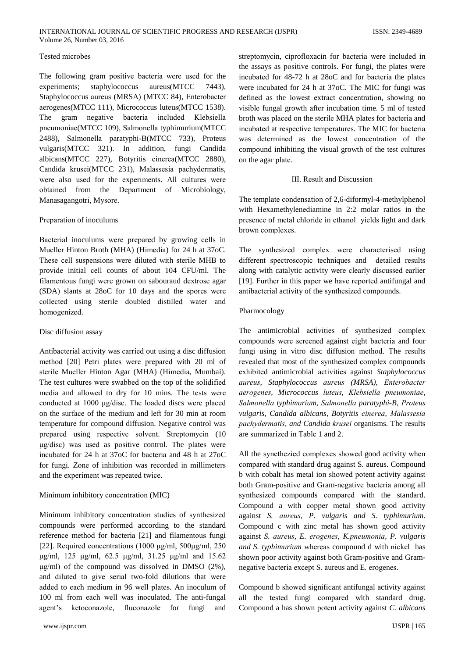## Tested microbes

The following gram positive bacteria were used for the experiments; staphylococcus aureus(MTCC 7443). Staphylococcus aureus (MRSA) (MTCC 84), Enterobacter aerogenes(MTCC 111), Micrococcus luteus(MTCC 1538). The gram negative bacteria included Klebsiella pneumoniae(MTCC 109), Salmonella typhimurium(MTCC 2488), Salmonella paratyphi-B(MTCC 733), Proteus vulgaris(MTCC 321). In addition, fungi Candida albicans(MTCC 227), Botyritis cinerea(MTCC 2880), Candida krusei(MTCC 231), Malassesia pachydermatis, were also used for the experiments. All cultures were obtained from the Department of Microbiology, Manasagangotri, Mysore.

## Preparation of inoculums

Bacterial inoculums were prepared by growing cells in Mueller Hinton Broth (MHA) (Himedia) for 24 h at 37oC. These cell suspensions were diluted with sterile MHB to provide initial cell counts of about 104 CFU/ml. The filamentous fungi were grown on sabouraud dextrose agar (SDA) slants at 28oC for 10 days and the spores were collected using sterile doubled distilled water and homogenized.

## Disc diffusion assay

Antibacterial activity was carried out using a disc diffusion method [20] Petri plates were prepared with 20 ml of sterile Mueller Hinton Agar (MHA) (Himedia, Mumbai). The test cultures were swabbed on the top of the solidified media and allowed to dry for 10 mins. The tests were conducted at 1000 µg/disc. The loaded discs were placed on the surface of the medium and left for 30 min at room temperature for compound diffusion. Negative control was prepared using respective solvent. Streptomycin (10)  $\mu$ g/disc) was used as positive control. The plates were incubated for 24 h at 37oC for bacteria and 48 h at 27oC for fungi. Zone of inhibition was recorded in millimeters and the experiment was repeated twice.

## Minimum inhibitory concentration (MIC)

Minimum inhibitory concentration studies of synthesized compounds were performed according to the standard reference method for bacteria [21] and filamentous fungi [22]. Required concentrations  $(1000 \text{ µg/ml}, 500 \text{µg/ml}, 250$  $\mu$ g/ml, 125  $\mu$ g/ml, 62.5  $\mu$ g/ml, 31.25  $\mu$ g/ml and 15.62  $\mu$ g/ml) of the compound was dissolved in DMSO (2%), and diluted to give serial two-fold dilutions that were added to each medium in 96 well plates. An inoculum of 100 ml from each well was inoculated. The anti-fungal agent's ketoconazole, fluconazole for fungi and

streptomycin, ciprofloxacin for bacteria were included in the assays as positive controls. For fungi, the plates were incubated for 48-72 h at 28oC and for bacteria the plates were incubated for 24 h at 37oC. The MIC for fungi was defined as the lowest extract concentration, showing no visible fungal growth after incubation time. 5 ml of tested broth was placed on the sterile MHA plates for bacteria and incubated at respective temperatures. The MIC for bacteria was determined as the lowest concentration of the compound inhibiting the visual growth of the test cultures on the agar plate.

## III. Result and Discussion

The template condensation of 2,6-diformyl-4-methylphenol with Hexamethylenediamine in 2:2 molar ratios in the presence of metal chloride in ethanol yields light and dark brown complexes.

The synthesized complex were characterised using different spectroscopic techniques and detailed results along with catalytic activity were clearly discussed earlier [19]. Further in this paper we have reported antifungal and antibacterial activity of the synthesized compounds.

## Pharmocology

The antimicrobial activities of synthesized complex compounds were screened against eight bacteria and four fungi using in vitro disc diffusion method. The results revealed that most of the synthesized complex compounds exhibited antimicrobial activities against Staphylococcus aureus, Staphylococcus aureus (MRSA), Enterobacter aerogenes, Micrococcus luteus, Klebsiella pneumoniae, Salmonella typhimurium, Salmonella paratyphi-B, Proteus vulgaris, Candida albicans, Botyritis cinerea, Malassesia pachydermatis, and Candida krusei organisms. The results are summarized in Table 1 and 2.

All the synethezied complexes showed good activity when compared with standard drug against S. aureus. Compound b with cobalt has metal ion showed potent activity against both Gram-positive and Gram-negative bacteria among all synthesized compounds compared with the standard. Compound a with copper metal shown good activity against S. aureus, P. vulgaris and S. typhimurium. Compound c with zinc metal has shown good activity against S. aureus, E. erogenes, K.pneumonia, P. vulgaris and S. typhimurium whereas compound d with nickel has shown poor activity against both Gram-positive and Gramnegative bacteria except S. aureus and E. erogenes.

Compound b showed significant antifungal activity against all the tested fungi compared with standard drug. Compound a has shown potent activity against C. albicans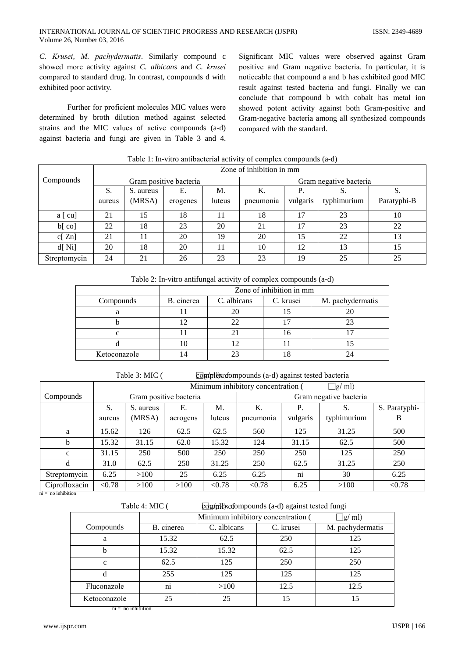C. Krusei, M. pachydermatis. Similarly compound c showed more activity against C. albicans and C. krusei compared to standard drug. In contrast, compounds d with exhibited poor activity.

Further for proficient molecules MIC values were determined by broth dilution method against selected strains and the MIC values of active compounds (a-d) against bacteria and fungi are given in Table 3 and 4.

Significant MIC values were observed against Gram positive and Gram negative bacteria. In particular, it is noticeable that compound a and b has exhibited good MIC result against tested bacteria and fungi. Finally we can conclude that compound b with cobalt has metal ion showed potent activity against both Gram-positive and Gram-negative bacteria among all synthesized compounds compared with the standard.

|              | Zone of inhibition in mm |                        |          |        |                        |           |             |             |
|--------------|--------------------------|------------------------|----------|--------|------------------------|-----------|-------------|-------------|
| Compounds    |                          | Gram positive bacteria |          |        | Gram negative bacteria |           |             |             |
|              | S.                       | S. aureus              | Е.       | М.     | Κ.                     | <b>P.</b> | C.          | S.          |
|              | aureus                   | (MRSA)                 | erogenes | luteus | pneumonia              | vulgaris  | typhimurium | Paratyphi-B |
| $a$ [ $cu$ ] | 21                       | 15                     | 18       |        | 18                     | 17        | 23          | 10          |
| $b[$ co]     | 22                       | 18                     | 23       | 20     | 21                     | 17        | 23          | 22          |
| c[Zn]        | 21                       | 11                     | 20       | 19     | 20                     | 15        | 22          | 13          |
| $d[$ Ni]     | 20                       | 18                     | 20       |        | 10                     | 12        | 13          | 15          |
| Streptomycin | 24                       | 21                     | 26       | 23     | 23                     | 19        | 25          | 25          |

Table 1: In-vitro antibacterial activity of complex compounds (a-d)

| Table 2: In-vitro antifungal activity of complex compounds (a-d) |  |  |  |
|------------------------------------------------------------------|--|--|--|
|                                                                  |  |  |  |

|              | Zone of inhibition in mm |             |           |                  |  |  |  |
|--------------|--------------------------|-------------|-----------|------------------|--|--|--|
| Compounds    | B. cinerea               | C. albicans | C. krusei | M. pachydermatis |  |  |  |
|              |                          |             |           |                  |  |  |  |
|              |                          | 22          |           |                  |  |  |  |
|              |                          |             |           |                  |  |  |  |
|              |                          |             |           |                  |  |  |  |
| Ketoconazole |                          |             |           |                  |  |  |  |

Table 3: MIC (

complex of ompounds (a-d) against tested bacteria

|               | Minimum inhibitory concentration (<br>$\exists$ g/ ml) |           |          |                        |           |          |             |               |
|---------------|--------------------------------------------------------|-----------|----------|------------------------|-----------|----------|-------------|---------------|
| Compounds     | Gram positive bacteria                                 |           |          | Gram negative bacteria |           |          |             |               |
|               | S.                                                     | S. aureus | Е.       | M.                     | Κ.        |          | S.          | S. Paratyphi- |
|               | aureus                                                 | (MRSA)    | aerogens | luteus                 | pneumonia | vulgaris | typhimurium | B             |
| a             | 15.62                                                  | 126       | 62.5     | 62.5                   | 560       | 125      | 31.25       | 500           |
| b             | 15.32                                                  | 31.15     | 62.0     | 15.32                  | 124       | 31.15    | 62.5        | 500           |
| $\mathbf{C}$  | 31.15                                                  | 250       | 500      | 250                    | 250       | 250      | 125         | 250           |
| d             | 31.0                                                   | 62.5      | 250      | 31.25                  | 250       | 62.5     | 31.25       | 250           |
| Streptomycin  | 6.25                                                   | >100      | 25       | 6.25                   | 6.25      | ni       | 30          | 6.25          |
| Ciprofloxacin | < 0.78                                                 | >100      | >100     | < 0.78                 | < 0.78    | 6.25     | >100        | < 0.78        |

 $\overline{\text{ni}} = \overline{\text{no}}$  inhibition

| $4:$ MIC $($ | complexed compounds (a-d) against tested fungi |           |          |  |  |  |
|--------------|------------------------------------------------|-----------|----------|--|--|--|
|              | Minimum inhibitory concentration (             |           | $\Box$ g |  |  |  |
| B. cinerea   | C. albicans                                    | C. krusei | M. pac   |  |  |  |

|              | Minimum inhibitory concentration (<br>$\exists$ g/ ml) |             |           |                  |  |  |  |
|--------------|--------------------------------------------------------|-------------|-----------|------------------|--|--|--|
| Compounds    | B. cinerea                                             | C. albicans | C. krusei | M. pachydermatis |  |  |  |
| a            | 15.32                                                  | 62.5        | 250       | 125              |  |  |  |
| h            | 15.32                                                  | 15.32       | 62.5      | 125              |  |  |  |
| $\mathbf{C}$ | 62.5                                                   | 125         | 250       | 250              |  |  |  |
| d            | 255                                                    | 125         | 125       | 125              |  |  |  |
| Fluconazole  | $\overline{ni}$                                        | >100        | 12.5      | 12.5             |  |  |  |
| Ketoconazole | 25                                                     | 25          | 15        | 15               |  |  |  |

 $ni - no$  inhibition

Table